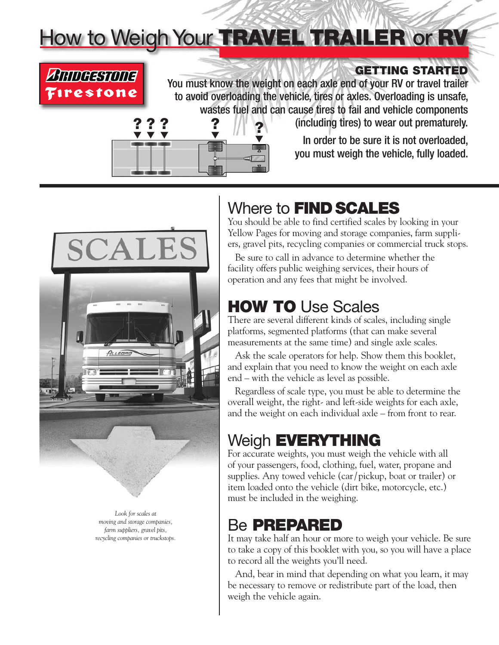# How to Weigh Your TRAVEL TRAILER or RV



### **GETTING STARTED**

You must know the weight on each axle end of your RV or travel trailer to avoid overloading the vehicle, tires or axles. Overloading is unsafe, wastes fuel and can cause tires to fail and vehicle components



(including tires) to wear out prematurely.

In order to be sure it is not overloaded, you must weigh the vehicle, fully loaded.



*Look for scales at moving and storage companies, farm suppliers, gravel pits, recycling companies or truckstops.*

# Where to **FIND SCALES**

You should be able to find certified scales by looking in your Yellow Pages for moving and storage companies, farm suppliers, gravel pits, recycling companies or commercial truck stops.

Be sure to call in advance to determine whether the facility offers public weighing services, their hours of operation and any fees that might be involved.

# **HOW TO** Use Scales

There are several different kinds of scales, including single platforms, segmented platforms (that can make several measurements at the same time) and single axle scales.

Ask the scale operators for help. Show them this booklet, and explain that you need to know the weight on each axle end – with the vehicle as level as possible.

Regardless of scale type, you must be able to determine the overall weight, the right- and left-side weights for each axle, and the weight on each individual axle – from front to rear.

# Weigh **EVERYTHING**

For accurate weights, you must weigh the vehicle with all of your passengers, food, clothing, fuel, water, propane and supplies. Any towed vehicle (car/ pickup, boat or trailer) or item loaded onto the vehicle (dirt bike, motorcycle, etc.) must be included in the weighing.

# Be **PREPARED**

It may take half an hour or more to weigh your vehicle. Be sure to take a copy of this booklet with you, so you will have a place to record all the weights you'll need.

And, bear in mind that depending on what you learn, it may be necessary to remove or redistribute part of the load, then weigh the vehicle again.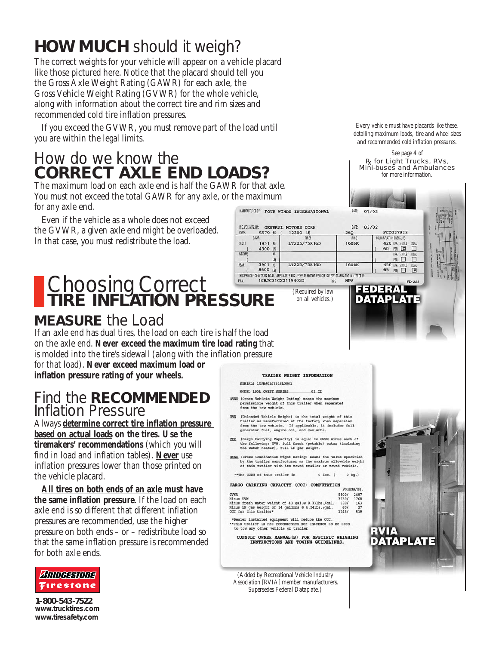# **HOW MUCH** should it weigh?

The correct weights for your vehicle will appear on a vehicle placard like those pictured here. Notice that the placard should tell you the Gross Axle Weight Rating (GAWR) for each axle, the Gross Vehicle Weight Rating (GVWR) for the whole vehicle, along with information about the correct tire and rim sizes and recommended cold tire inflation pressures.

If you exceed the GVWR, you must remove part of the load until you are within the legal limits.

# How do we know the **CORRECT AXLE END LOADS?**

The maximum load on each axle end is half the GAWR for that axle. You must not exceed the total GAWR for any axle, or the maximum for any axle end. MANUMENT BY: FOUR WINDS INTERNATIONAL

Even if the vehicle as a whole does not exceed the GVWR, a given axle end might be overloaded. In that case, you must redistribute the load.

#### 8600 LBJ THIS VEHICLE CONFORMS TO ALL APPLICABLE U.S. FEDERAL MOTOR VEHICLE SAFETY STANDARDS IN EFFECT IN: Choosing Correct 1GBJG31GX21194020 **TIRE INFLATION PRESSURE**

## **MEASURE** the Load

If an axle end has dual tires, the load on each tire is half the load on the axle end. **Never exceed the maximum tire load rating** that is molded into the tire's sidewall (along with the inflation pressure for that load). **Never exceed maximum load or inflation pressure rating of your wheels.**

### Find the **RECOMMENDED** Inflation Pressure

Always **determine correct tire inflation pressure based on actual loads on the tires. Use the tiremakers' recommendations** (which you will find in load and inflation tables). **Never** use inflation pressures lower than those printed on the vehicle placard.

**All tires on both ends of an axle must have the same inflation pressure**. If the load on each axle end is so different that different inflation pressures are recommended, use the higher pressure on both ends – or – redistribute load so that the same inflation pressure is recommended for both axle ends.



**1-800-543-7522 www.trucktires.com www.tiresafety.com**

#### TRAILER WEIGHT INFORMATION

*(Required by law on all vehicles.)*

tiere

LT225/75R16D

LT225/75R16D

**ME** 07/02

**RIMS** 

16X6K

16X6K

TYPE **MPV** 

260

DATE: 03/02

#### SERIAL# 1UJBJ02J9316L0061

**MC. VEH. MFG. BY: GENERAL MOTORS CORP** 

1951 脂

4300 LB

KG  $\lfloor B \rfloor$ 

临

5579 后 ( 12300 国

GYVR

FRONT

INTERV

REAR

GAWR

- MODEL 190L OWEST SERIES 03 II
- GVWR (Gross Vehicle Weight Rating) means the maximum permissible weight of this trailer when separated from the tow vehicle.
- UWM (Unloaded Vehicle Weight) is the total weight of this<br>trailer as manufactured at the factory when separated<br>from the tow wehicle. If applicable, it includes full<br>generator fuel, engine oil, and coolants. hen separated<br>includes full
- $\frac{CCCC}{C}$  (Cargo Carrying Capacity) is equal to GWR minus each of the following: UWW, full fresh (potable) water (including the water heater), full LP gas weight.
- GCWR (Gross Combination Wight Rating) means the value specified by the trailer manufacturer as the maximum allowable weight<br>of this trailer with its towed trailer or towed vehicle.

\*\*The GCWR of this trailer is  $0$  Lbs.  $($ 

#### CARGO CARRYING CAPACITY (CCC) COMPUTATION

|                                                    |       | <b>Endramed View</b> |
|----------------------------------------------------|-------|----------------------|
| <b>GVWR</b>                                        | 5500/ | 2497                 |
| Minus UVW                                          | 3939/ | 1768                 |
| Minus fresh water weight of 43 gal.@ 8.331bs./gal. | 358/  | 163                  |
| Minus LP gas weight of 14 gallons @ 4.241bs./gal.  | 60/   | 27                   |
| CCC for this trailer*                              | 1143/ | 519                  |
|                                                    |       |                      |

\*Dealer installed equipment will reduce the CCC.<br>\*\*This trailer is not recommended nor intended to or intended to be used to tow any other vehicle or trailer

CONSULT OWNER MANUAL(S) FOR SPECIFIC WEIGHING<br>INSTRUCTIONS AND TOWING GUIDELINES.

*(Added by Recreational Vehicle Industry Association [RVIA] member manufacturers. Supersedes Federal Dataplate.)*



*See page 4 of*  R<sub>k</sub> for Light Trucks, RVs, Mini-buses and Ambulances *for more information.*

FCC027933

60 FSI X

450 IPA SNGLE

65 PSI}

FEDERAL DATAPLAT

RVIA

DATAPLATE

420 KPA SINGLE DUAL

 $\Box$ 

 $\frac{1}{\sqrt{2}}$ 

**DOLD INFLATION PRESSUR**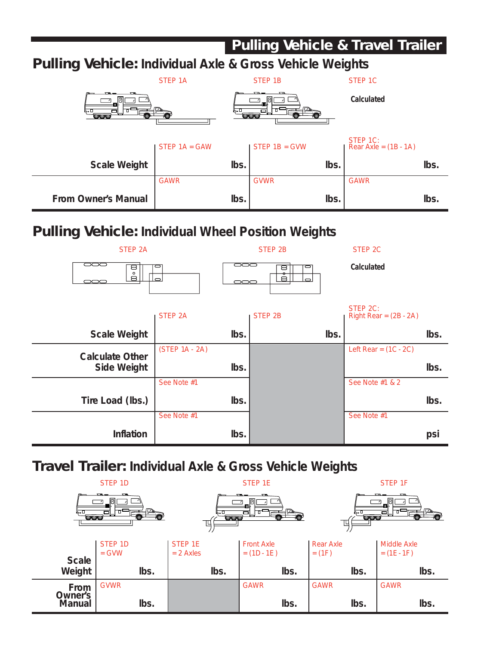### **Pulling Vehicle & Travel Trailer Pulling Vehicle: Individual Axle & Gross Vehicle Weights** STEP 1A STEP 1B STEP 1C **Calculated** ᄀ STEP 1C: STEP 1A = GAW STEP 1B = GVW Rear Axle =  $(1B - 1A)$ Scale Weight **a** lbs. **lbs. lbs. lbs. lbs. lbs. lbs.** GAWR GVWR GAWR From Owner's Manual **in the set of the set of the set of the set of the set of the set of the set of the set of the set of the set of the set of the set of the set of the set of the set of the set of the set of the set of Pulling Vehicle: Individual Wheel Position Weights** STEP 2A STEP 2B STEP 2A 500 \_\_<br>—  $\mathbb{D} \circ \mathbb{D}$ **Calculated**  $\overline{a}$ <u>l ă.</u>  $\Rightarrow$ STEP 2C: STEP 2A STEP 2B Right Rear =  $(2B - 2A)$ Scale Weight | **lbs.** | **lbs.** | **lbs.** | **lbs.** | **lbs.** | **lbs.** | Calculate Other (STEP 1A - 2A) Left Rear = (1C - 2C) Side Weight **lbs. lbs. lbs. lbs. lbs. lbs.** See Note #1 See Note #1 & 2 Tire Load (lbs.) lbs. lbs. lbs. lbs. lbs. lbs. See Note #1 See Note #1 **Inflation lbs. psi Travel Trailer: Individual Axle & Gross Vehicle Weights** STEP 1D STEP 1E STEP 15 STEP 16 STEP 16 STEP 16

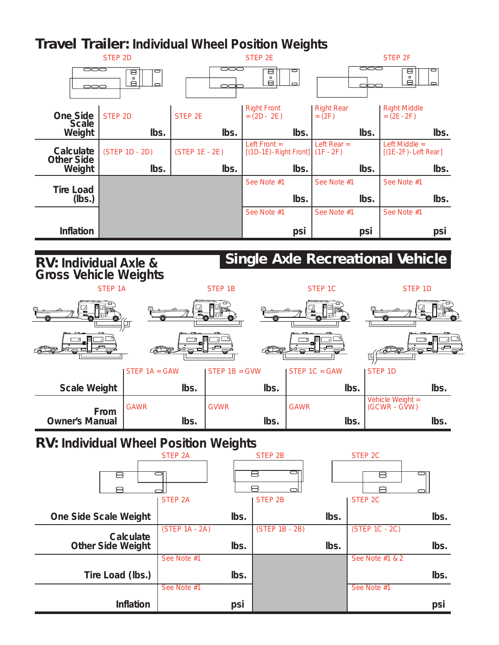## **Travel Trailer: Individual Wheel Position Weights**



See Note #1 See Note #1 **Inflation psi psi**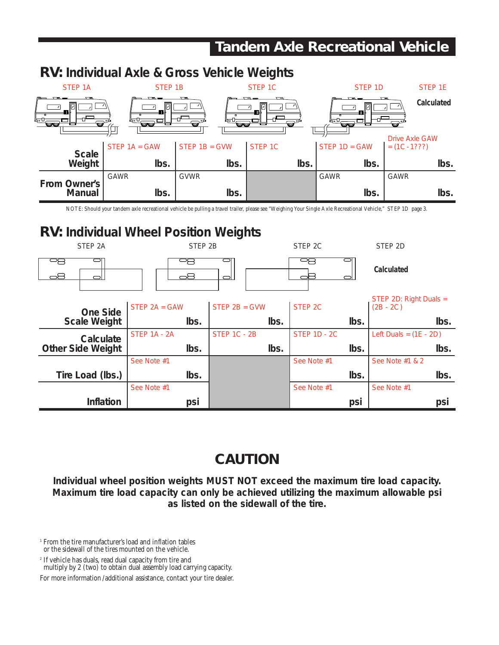# **Tandem Axle Recreational Vehicle**



NOTE: Should your tandem axle recreational vehicle be pulling a travel trailer, please see "Weighing Your Single Axle Recreational Vehicle," STEP 1D page 3.

## **RV: Individual Wheel Position Weights**

| STEP <sub>2A</sub>       | STEP 2B         |                     | STEP <sub>2C</sub>  | STEP <sub>2D</sub>                    |
|--------------------------|-----------------|---------------------|---------------------|---------------------------------------|
| oS                       | 무무<br>oS        | $\Box$              |                     | <b>Calculated</b>                     |
| One Side                 | STEP $2A = GAW$ | STEP $2B = GWW$     | STEP <sub>2C</sub>  | STEP 2D: Right Duals =<br>$(2B - 2C)$ |
| <b>Scale Weight</b>      | lbs.            | lbs.                | lbs.                | lbs.                                  |
| Calculate                | STEP 1A - 2A    | <b>STEP 1C - 2B</b> | <b>STEP 1D - 2C</b> | Left Duals = $(1E - 2D)$              |
| <b>Other Side Weight</b> | lbs.            | lbs.                | lbs.                | lbs.                                  |
|                          | See Note #1     |                     | See Note #1         | See Note #1 & 2                       |
| Tire Load (lbs.)         | lbs.            |                     | lbs.                | lbs.                                  |
|                          | See Note #1     |                     | See Note #1         | See Note #1                           |
| Inflation                | psi             |                     | psi                 | psi                                   |

## **CAUTION**

**Individual wheel position weights MUST NOT exceed the maximum tire load capacity. Maximum tire load capacity can only be achieved utilizing the maximum allowable psi as listed on the sidewall of the tire.**

<sup>1</sup> From the tire manufacturer's load and inflation tables or the sidewall of the tires mounted on the vehicle.

<sup>2</sup> If vehicle has duals, read dual capacity from tire and multiply by 2 (two) to obtain dual assembly load carrying capacity.

For more information/additional assistance, contact your tire dealer.